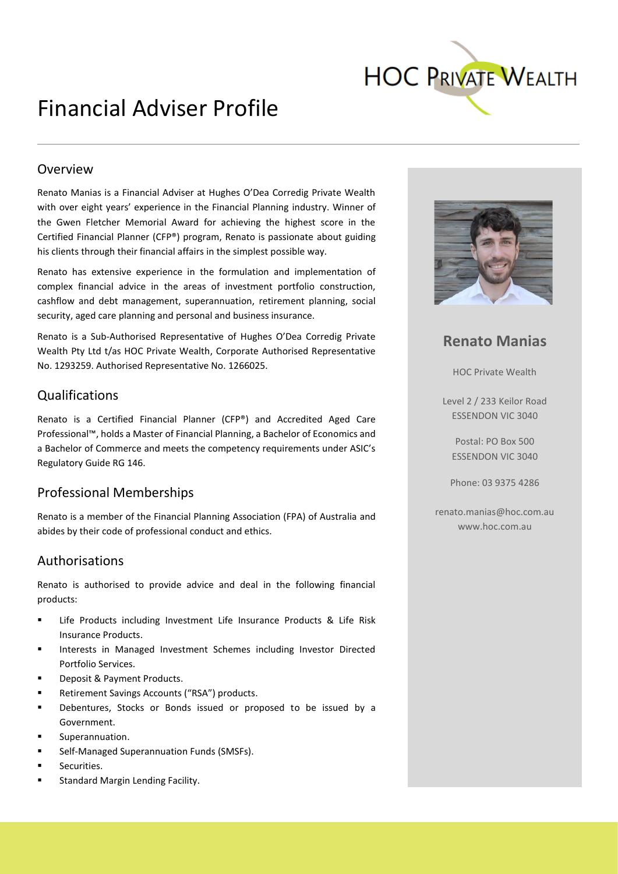

## Financial Adviser Profile

#### Overview

Renato Manias is a Financial Adviser at Hughes O'Dea Corredig Private Wealth with over eight years' experience in the Financial Planning industry. Winner of the Gwen Fletcher Memorial Award for achieving the highest score in the Certified Financial Planner (CFP®) program, Renato is passionate about guiding his clients through their financial affairs in the simplest possible way.

Renato has extensive experience in the formulation and implementation of complex financial advice in the areas of investment portfolio construction, cashflow and debt management, superannuation, retirement planning, social security, aged care planning and personal and business insurance.

Renato is a Sub-Authorised Representative of Hughes O'Dea Corredig Private Wealth Pty Ltd t/as HOC Private Wealth, Corporate Authorised Representative No. 1293259. Authorised Representative No. 1266025.

#### Qualifications

Renato is a Certified Financial Planner (CFP®) and Accredited Aged Care Professional™, holds a Master of Financial Planning, a Bachelor of Economics and a Bachelor of Commerce and meets the competency requirements under ASIC's Regulatory Guide RG 146.

#### Professional Memberships

Renato is a member of the Financial Planning Association (FPA) of Australia and abides by their code of professional conduct and ethics.

#### Authorisations

Renato is authorised to provide advice and deal in the following financial products:

- Life Products including Investment Life Insurance Products & Life Risk Insurance Products.
- Interests in Managed Investment Schemes including Investor Directed Portfolio Services.
- Deposit & Payment Products.
- Retirement Savings Accounts ("RSA") products.
- Debentures, Stocks or Bonds issued or proposed to be issued by a Government.
- Superannuation.
- Self-Managed Superannuation Funds (SMSFs).
- Securities.
- Standard Margin Lending Facility.



**Renato Manias**

HOC Private Wealth

Level 2 / 233 Keilor Road ESSENDON VIC 3040

Postal: PO Box 500 ESSENDON VIC 3040

Phone: 03 9375 4286

renato.manias@hoc.com.au www.hoc.com.au